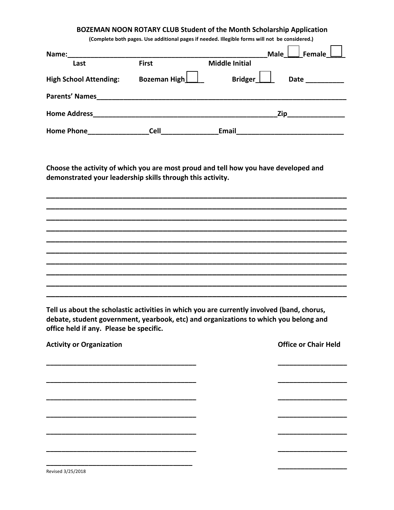## BOZEMAN NOON ROTARY CLUB Student of the Month Scholarship Application

(Complete both pages. Use additional pages if needed. Illegible forms will not be considered.)

| Name:                         |              |                       | Female $\Box$<br><b>Male</b> |
|-------------------------------|--------------|-----------------------|------------------------------|
| Last                          | <b>First</b> | <b>Middle Initial</b> |                              |
| <b>High School Attending:</b> | Bozeman High | Bridger_              | <b>Date</b>                  |
| <b>Parents' Names</b>         |              |                       |                              |
| <b>Home Address</b>           |              | Zip                   |                              |
| <b>Home Phone</b>             | <b>Cell</b>  | Email                 |                              |

Choose the activity of which you are most proud and tell how you have developed and demonstrated your leadership skills through this activity.

Tell us about the scholastic activities in which you are currently involved (band, chorus, debate, student government, yearbook, etc) and organizations to which you belong and office held if any. Please be specific.

| <b>Activity or Organization</b> | <b>Office or Chair Held</b> |
|---------------------------------|-----------------------------|
|                                 |                             |
|                                 |                             |
|                                 |                             |
|                                 |                             |
|                                 |                             |
|                                 |                             |
|                                 |                             |
|                                 |                             |

Revised 3/25/2018